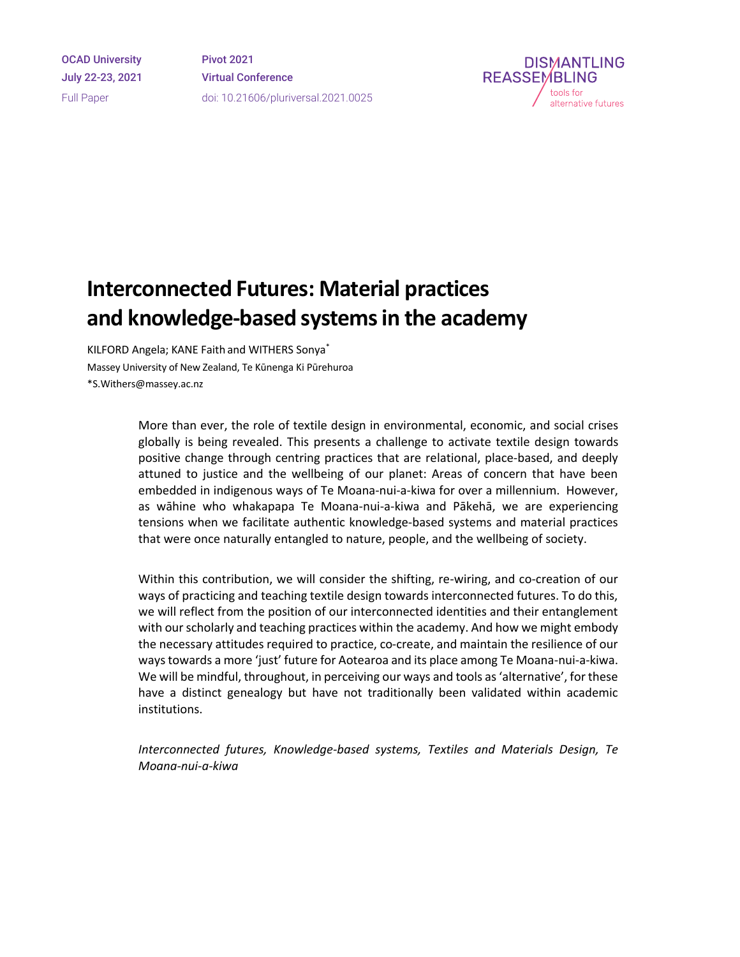OCAD University July 22-23, 2021 Full Paper

Pivot 2021 Virtual Conference doi: 10.21606/pluriversal.2021.0025



# **Interconnected Futures: Material practices and knowledge-based systemsin the academy**

KILFORD Angela; KANE Faith and WITHERS Sonya\* Massey University of New Zealand, Te Kūnenga Ki Pūrehuroa \*S.Withers@massey.ac.nz

> More than ever, the role of textile design in environmental, economic, and social crises globally is being revealed. This presents a challenge to activate textile design towards positive change through centring practices that are relational, place-based, and deeply attuned to justice and the wellbeing of our planet: Areas of concern that have been embedded in indigenous ways of Te Moana-nui-a-kiwa for over a millennium. However, as wāhine who whakapapa Te Moana-nui-a-kiwa and Pākehā, we are experiencing tensions when we facilitate authentic knowledge-based systems and material practices that were once naturally entangled to nature, people, and the wellbeing of society.

> Within this contribution, we will consider the shifting, re-wiring, and co-creation of our ways of practicing and teaching textile design towards interconnected futures. To do this, we will reflect from the position of our interconnected identities and their entanglement with our scholarly and teaching practices within the academy. And how we might embody the necessary attitudes required to practice, co-create, and maintain the resilience of our ways towards a more 'just' future for Aotearoa and its place among Te Moana-nui-a-kiwa. We will be mindful, throughout, in perceiving our ways and tools as 'alternative', for these have a distinct genealogy but have not traditionally been validated within academic institutions.

> *Interconnected futures, Knowledge-based systems, Textiles and Materials Design, Te Moana-nui-a-kiwa*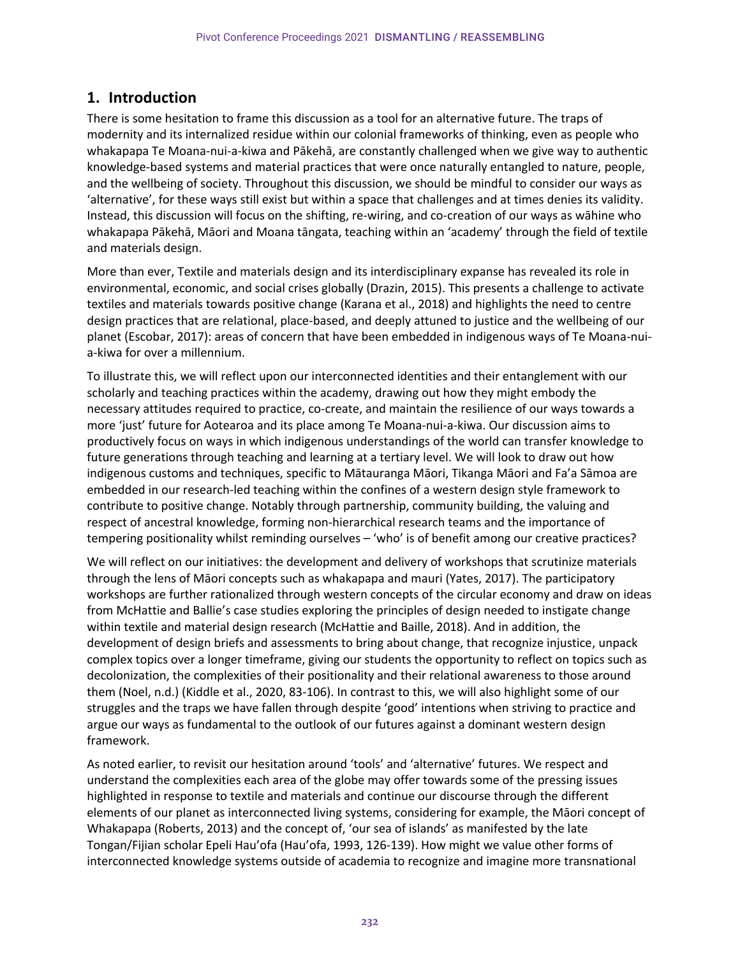# **1. Introduction**

There is some hesitation to frame this discussion as a tool for an alternative future. The traps of modernity and its internalized residue within our colonial frameworks of thinking, even as people who whakapapa Te Moana-nui-a-kiwa and Pākehā, are constantly challenged when we give way to authentic knowledge-based systems and material practices that were once naturally entangled to nature, people, and the wellbeing of society. Throughout this discussion, we should be mindful to consider our ways as 'alternative', for these ways still exist but within a space that challenges and at times denies its validity. Instead, this discussion will focus on the shifting, re-wiring, and co-creation of our ways as wāhine who whakapapa Pākehā, Māori and Moana tāngata, teaching within an 'academy' through the field of textile and materials design.

More than ever, Textile and materials design and its interdisciplinary expanse has revealed its role in environmental, economic, and social crises globally (Drazin, 2015). This presents a challenge to activate textiles and materials towards positive change (Karana et al., 2018) and highlights the need to centre design practices that are relational, place-based, and deeply attuned to justice and the wellbeing of our planet (Escobar, 2017): areas of concern that have been embedded in indigenous ways of Te Moana-nuia-kiwa for over a millennium.

To illustrate this, we will reflect upon our interconnected identities and their entanglement with our scholarly and teaching practices within the academy, drawing out how they might embody the necessary attitudes required to practice, co-create, and maintain the resilience of our ways towards a more 'just' future for Aotearoa and its place among Te Moana-nui-a-kiwa. Our discussion aims to productively focus on ways in which indigenous understandings of the world can transfer knowledge to future generations through teaching and learning at a tertiary level. We will look to draw out how indigenous customs and techniques, specific to Mātauranga Māori, Tikanga Māori and Fa'a Sāmoa are embedded in our research-led teaching within the confines of a western design style framework to contribute to positive change. Notably through partnership, community building, the valuing and respect of ancestral knowledge, forming non-hierarchical research teams and the importance of tempering positionality whilst reminding ourselves – 'who' is of benefit among our creative practices?

We will reflect on our initiatives: the development and delivery of workshops that scrutinize materials through the lens of Māori concepts such as whakapapa and mauri (Yates, 2017). The participatory workshops are further rationalized through western concepts of the circular economy and draw on ideas from McHattie and Ballie's case studies exploring the principles of design needed to instigate change within textile and material design research (McHattie and Baille, 2018). And in addition, the development of design briefs and assessments to bring about change, that recognize injustice, unpack complex topics over a longer timeframe, giving our students the opportunity to reflect on topics such as decolonization, the complexities of their positionality and their relational awareness to those around them (Noel, n.d.) (Kiddle et al., 2020, 83-106). In contrast to this, we will also highlight some of our struggles and the traps we have fallen through despite 'good' intentions when striving to practice and argue our ways as fundamental to the outlook of our futures against a dominant western design framework.

As noted earlier, to revisit our hesitation around 'tools' and 'alternative' futures. We respect and understand the complexities each area of the globe may offer towards some of the pressing issues highlighted in response to textile and materials and continue our discourse through the different elements of our planet as interconnected living systems, considering for example, the Māori concept of Whakapapa (Roberts, 2013) and the concept of, 'our sea of islands' as manifested by the late Tongan/Fijian scholar Epeli Hau'ofa (Hau'ofa, 1993, 126-139). How might we value other forms of interconnected knowledge systems outside of academia to recognize and imagine more transnational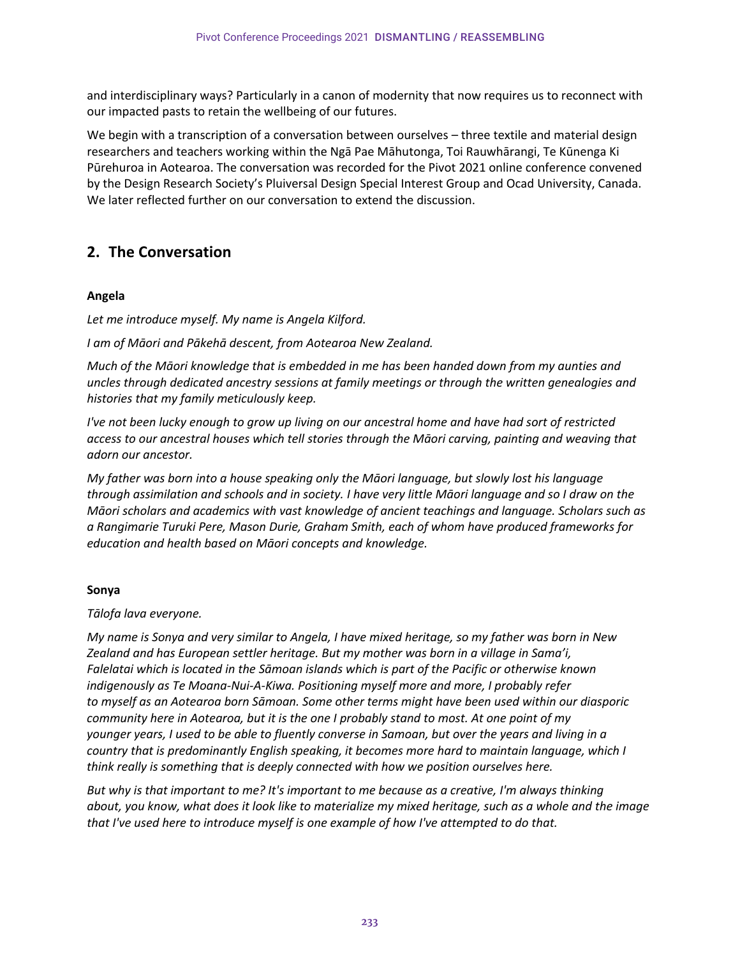and interdisciplinary ways? Particularly in a canon of modernity that now requires us to reconnect with our impacted pasts to retain the wellbeing of our futures.

We begin with a transcription of a conversation between ourselves – three textile and material design researchers and teachers working within the Ngā Pae Māhutonga, Toi Rauwhārangi, Te Kūnenga Ki Pūrehuroa in Aotearoa. The conversation was recorded for the Pivot 2021 online conference convened by the Design Research Society's Pluiversal Design Special Interest Group and Ocad University, Canada. We later reflected further on our conversation to extend the discussion.

# **2. The Conversation**

#### **Angela**

*Let me introduce myself. My name is Angela Kilford.*

*I am of Māori and Pākehā descent, from Aotearoa New Zealand.*

*Much of the Māori knowledge that is embedded in me has been handed down from my aunties and uncles through dedicated ancestry sessions at family meetings or through the written genealogies and histories that my family meticulously keep.*

*I've not been lucky enough to grow up living on our ancestral home and have had sort of restricted access to our ancestral houses which tell stories through the Māori carving, painting and weaving that adorn our ancestor.*

*My father was born into a house speaking only the Māori language, but slowly lost his language through assimilation and schools and in society. I have very little Māori language and so I draw on the Māori scholars and academics with vast knowledge of ancient teachings and language. Scholars such as a Rangimarie Turuki Pere, Mason Durie, Graham Smith, each of whom have produced frameworks for education and health based on Māori concepts and knowledge.*

#### **Sonya**

#### *Tālofa lava everyone.*

*My name is Sonya and very similar to Angela, I have mixed heritage, so my father was born in New Zealand and has European settler heritage. But my mother was born in a village in Sama'i, Falelatai which is located in the Sāmoan islands which is part of the Pacific or otherwise known indigenously as Te Moana-Nui-A-Kiwa. Positioning myself more and more, I probably refer to myself as an Aotearoa born Sāmoan. Some other terms might have been used within our diasporic community here in Aotearoa, but it is the one I probably stand to most. At one point of my younger years, I used to be able to fluently converse in Samoan, but over the years and living in a country that is predominantly English speaking, it becomes more hard to maintain language, which I think really is something that is deeply connected with how we position ourselves here.*

*But why is that important to me? It's important to me because as a creative, I'm always thinking about, you know, what does it look like to materialize my mixed heritage, such as a whole and the image that I've used here to introduce myself is one example of how I've attempted to do that.*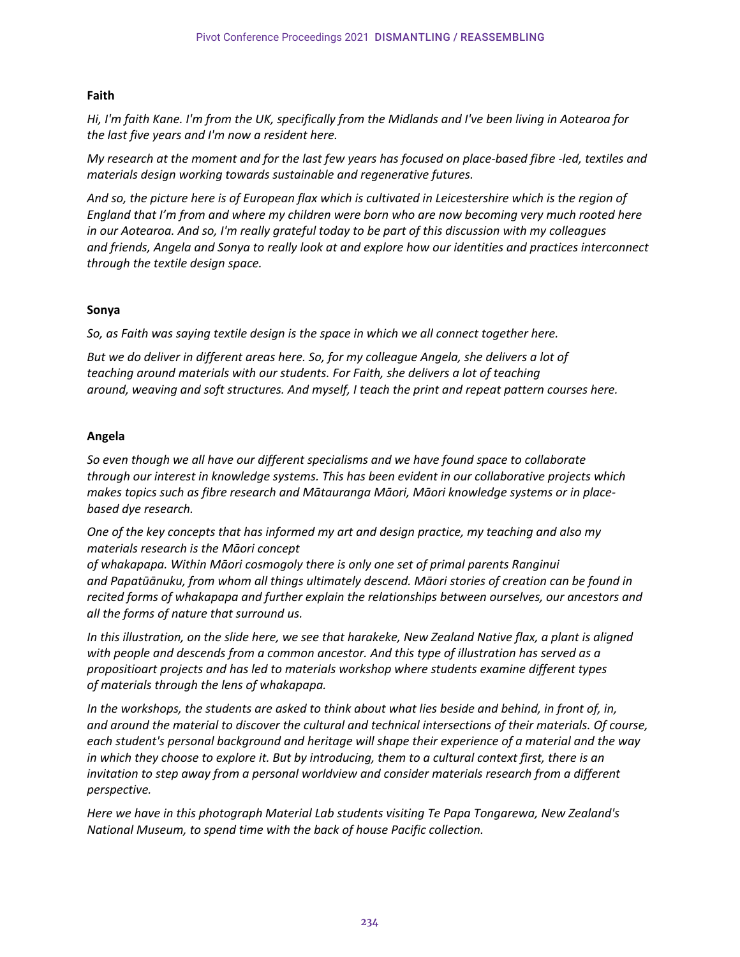#### **Faith**

*Hi, I'm faith Kane. I'm from the UK, specifically from the Midlands and I've been living in Aotearoa for the last five years and I'm now a resident here.*

*My research at the moment and for the last few years has focused on place-based fibre -led, textiles and materials design working towards sustainable and regenerative futures.*

*And so, the picture here is of European flax which is cultivated in Leicestershire which is the region of England that I'm from and where my children were born who are now becoming very much rooted here in our Aotearoa. And so, I'm really grateful today to be part of this discussion with my colleagues and friends, Angela and Sonya to really look at and explore how our identities and practices interconnect through the textile design space.*

#### **Sonya**

*So, as Faith was saying textile design is the space in which we all connect together here.*

*But we do deliver in different areas here. So, for my colleague Angela, she delivers a lot of teaching around materials with our students. For Faith, she delivers a lot of teaching around, weaving and soft structures. And myself, I teach the print and repeat pattern courses here.*

#### **Angela**

*So even though we all have our different specialisms and we have found space to collaborate through our interest in knowledge systems. This has been evident in our collaborative projects which makes topics such as fibre research and Mātauranga Māori, Māori knowledge systems or in placebased dye research.*

*One of the key concepts that has informed my art and design practice, my teaching and also my materials research is the Māori concept* 

*of whakapapa. Within Māori cosmogoly there is only one set of primal parents Ranginui and Papatūānuku, from whom all things ultimately descend. Māori stories of creation can be found in recited forms of whakapapa and further explain the relationships between ourselves, our ancestors and all the forms of nature that surround us.*

*In this illustration, on the slide here, we see that harakeke, New Zealand Native flax, a plant is aligned with people and descends from a common ancestor. And this type of illustration has served as a propositioart projects and has led to materials workshop where students examine different types of materials through the lens of whakapapa.*

*In the workshops, the students are asked to think about what lies beside and behind, in front of, in, and around the material to discover the cultural and technical intersections of their materials. Of course, each student's personal background and heritage will shape their experience of a material and the way in which they choose to explore it. But by introducing, them to a cultural context first, there is an invitation to step away from a personal worldview and consider materials research from a different perspective.*

*Here we have in this photograph Material Lab students visiting Te Papa Tongarewa, New Zealand's National Museum, to spend time with the back of house Pacific collection.*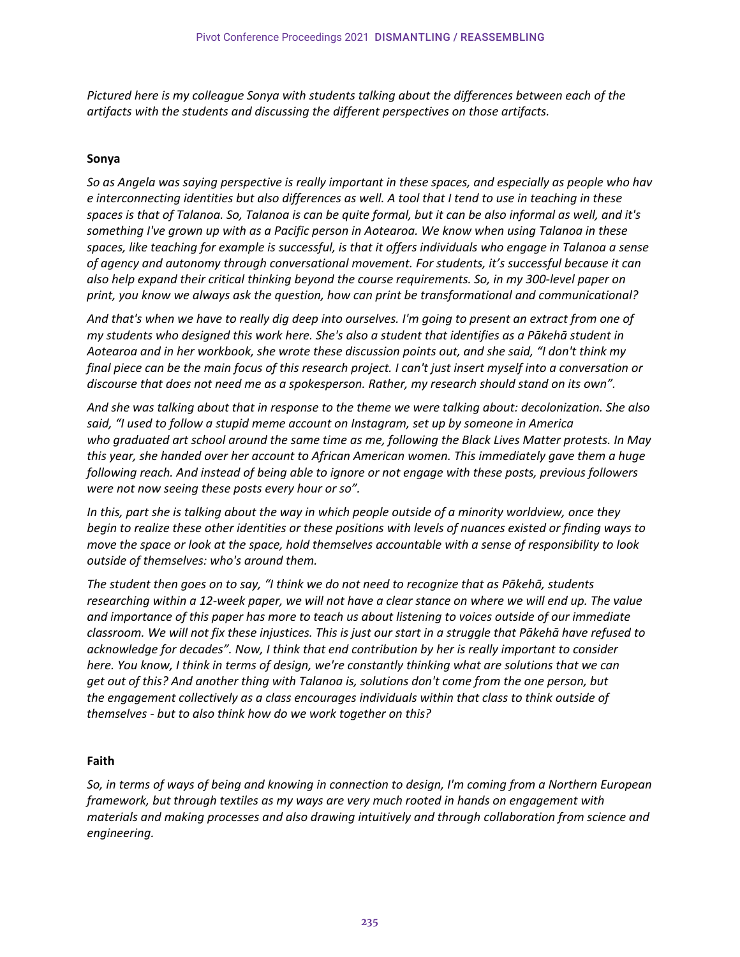*Pictured here is my colleague Sonya with students talking about the differences between each of the artifacts with the students and discussing the different perspectives on those artifacts.*

#### **Sonya**

So as Angela was saying perspective is really important in these spaces, and especially as people who hav *e interconnecting identities but also differences as well. A tool that I tend to use in teaching in these spaces is that of Talanoa. So, Talanoa is can be quite formal, but it can be also informal as well, and it's something I've grown up with as a Pacific person in Aotearoa. We know when using Talanoa in these spaces, like teaching for example is successful, is that it offers individuals who engage in Talanoa a sense of agency and autonomy through conversational movement. For students, it's successful because it can also help expand their critical thinking beyond the course requirements. So, in my 300-level paper on print, you know we always ask the question, how can print be transformational and communicational?*

*And that's when we have to really dig deep into ourselves. I'm going to present an extract from one of my students who designed this work here. She's also a student that identifies as a Pākehā student in Aotearoa and in her workbook, she wrote these discussion points out, and she said, "I don't think my final piece can be the main focus of this research project. I can't just insert myself into a conversation or discourse that does not need me as a spokesperson. Rather, my research should stand on its own".*

*And she was talking about that in response to the theme we were talking about: decolonization. She also said, "I used to follow a stupid meme account on Instagram, set up by someone in America who graduated art school around the same time as me, following the Black Lives Matter protests. In May this year, she handed over her account to African American women. This immediately gave them a huge following reach. And instead of being able to ignore or not engage with these posts, previous followers were not now seeing these posts every hour or so".*

*In this, part she is talking about the way in which people outside of a minority worldview, once they begin to realize these other identities or these positions with levels of nuances existed or finding ways to move the space or look at the space, hold themselves accountable with a sense of responsibility to look outside of themselves: who's around them.*

*The student then goes on to say, "I think we do not need to recognize that as Pākehā, students researching within a 12-week paper, we will not have a clear stance on where we will end up. The value and importance of this paper has more to teach us about listening to voices outside of our immediate classroom. We will not fix these injustices. This is just our start in a struggle that Pākehā have refused to acknowledge for decades". Now, I think that end contribution by her is really important to consider here. You know, I think in terms of design, we're constantly thinking what are solutions that we can get out of this? And another thing with Talanoa is, solutions don't come from the one person, but the engagement collectively as a class encourages individuals within that class to think outside of themselves - but to also think how do we work together on this?* 

#### **Faith**

*So, in terms of ways of being and knowing in connection to design, I'm coming from a Northern European framework, but through textiles as my ways are very much rooted in hands on engagement with materials and making processes and also drawing intuitively and through collaboration from science and engineering.*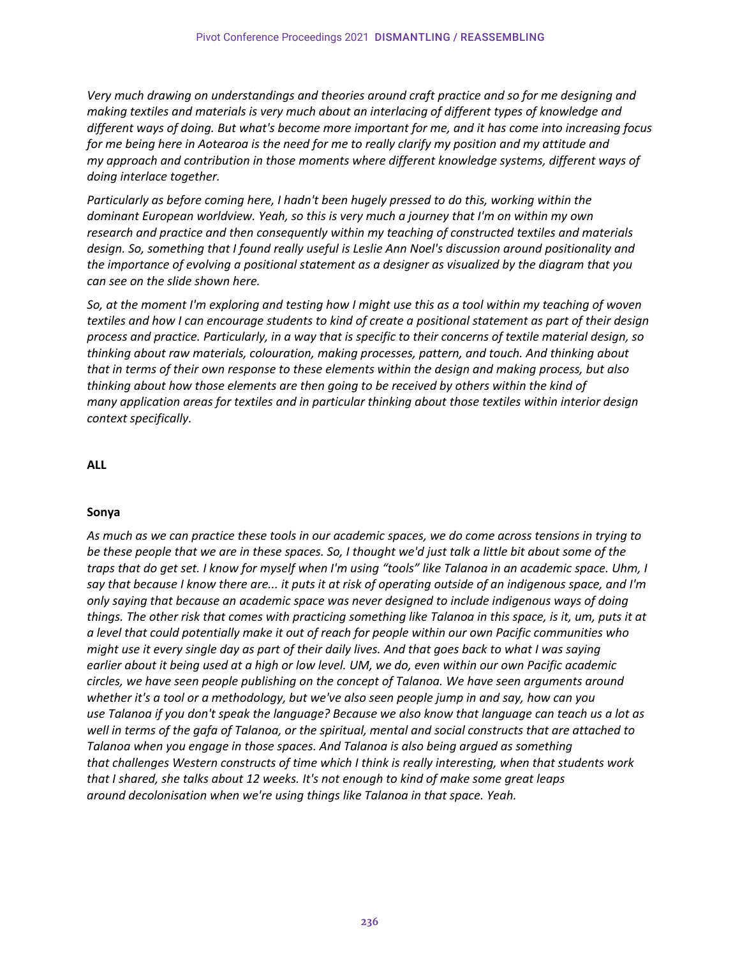*Very much drawing on understandings and theories around craft practice and so for me designing and making textiles and materials is very much about an interlacing of different types of knowledge and different ways of doing. But what's become more important for me, and it has come into increasing focus for me being here in Aotearoa is the need for me to really clarify my position and my attitude and my approach and contribution in those moments where different knowledge systems, different ways of doing interlace together.*

*Particularly as before coming here, I hadn't been hugely pressed to do this, working within the dominant European worldview. Yeah, so this is very much a journey that I'm on within my own research and practice and then consequently within my teaching of constructed textiles and materials design. So, something that I found really useful is Leslie Ann Noel's discussion around positionality and the importance of evolving a positional statement as a designer as visualized by the diagram that you can see on the slide shown here.*

*So, at the moment I'm exploring and testing how I might use this as a tool within my teaching of woven textiles and how I can encourage students to kind of create a positional statement as part of their design process and practice. Particularly, in a way that is specific to their concerns of textile material design, so thinking about raw materials, colouration, making processes, pattern, and touch. And thinking about that in terms of their own response to these elements within the design and making process, but also thinking about how those elements are then going to be received by others within the kind of many application areas for textiles and in particular thinking about those textiles within interior design context specifically.*

#### **ALL**

#### **Sonya**

*As much as we can practice these tools in our academic spaces, we do come across tensions in trying to be these people that we are in these spaces. So, I thought we'd just talk a little bit about some of the traps that do get set. I know for myself when I'm using "tools" like Talanoa in an academic space. Uhm, I say that because I know there are... it puts it at risk of operating outside of an indigenous space, and I'm only saying that because an academic space was never designed to include indigenous ways of doing things. The other risk that comes with practicing something like Talanoa in this space, is it, um, puts it at a level that could potentially make it out of reach for people within our own Pacific communities who might use it every single day as part of their daily lives. And that goes back to what I was saying earlier about it being used at a high or low level. UM, we do, even within our own Pacific academic circles, we have seen people publishing on the concept of Talanoa. We have seen arguments around whether it's a tool or a methodology, but we've also seen people jump in and say, how can you use Talanoa if you don't speak the language? Because we also know that language can teach us a lot as well in terms of the gafa of Talanoa, or the spiritual, mental and social constructs that are attached to Talanoa when you engage in those spaces. And Talanoa is also being argued as something that challenges Western constructs of time which I think is really interesting, when that students work that I shared, she talks about 12 weeks. It's not enough to kind of make some great leaps around decolonisation when we're using things like Talanoa in that space. Yeah.*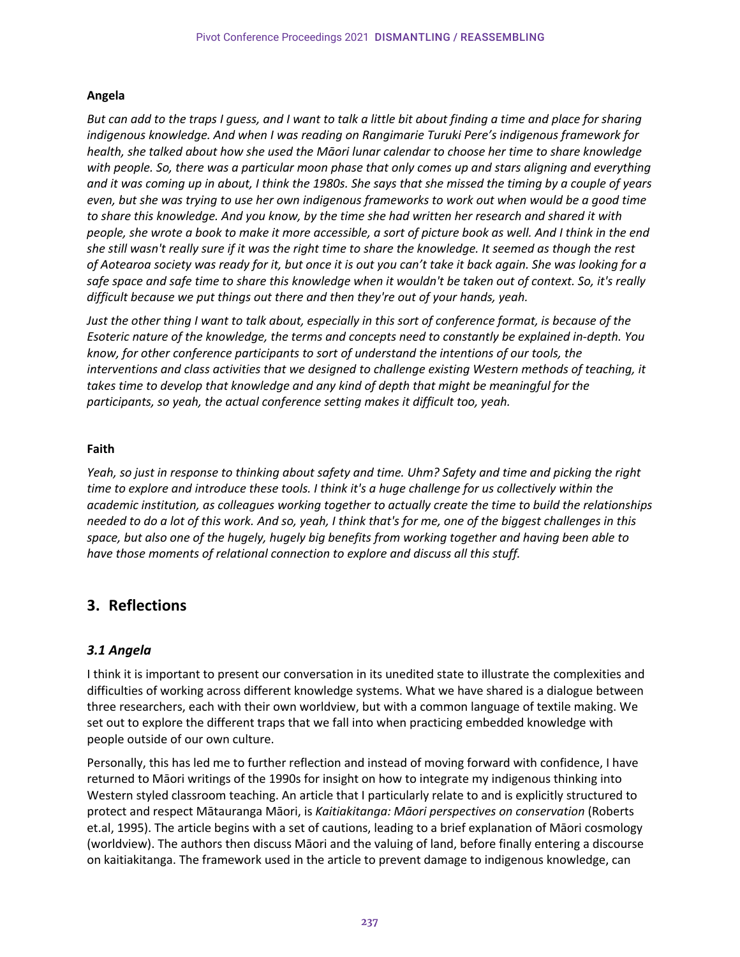#### **Angela**

*But can add to the traps I guess, and I want to talk a little bit about finding a time and place for sharing indigenous knowledge. And when I was reading on Rangimarie Turuki Pere's indigenous framework for health, she talked about how she used the Māori lunar calendar to choose her time to share knowledge with people. So, there was a particular moon phase that only comes up and stars aligning and everything and it was coming up in about, I think the 1980s. She says that she missed the timing by a couple of years even, but she was trying to use her own indigenous frameworks to work out when would be a good time to share this knowledge. And you know, by the time she had written her research and shared it with people, she wrote a book to make it more accessible, a sort of picture book as well. And I think in the end she still wasn't really sure if it was the right time to share the knowledge. It seemed as though the rest of Aotearoa society was ready for it, but once it is out you can't take it back again. She was looking for a safe space and safe time to share this knowledge when it wouldn't be taken out of context. So, it's really difficult because we put things out there and then they're out of your hands, yeah.*

*Just the other thing I want to talk about, especially in this sort of conference format, is because of the Esoteric nature of the knowledge, the terms and concepts need to constantly be explained in-depth. You know, for other conference participants to sort of understand the intentions of our tools, the interventions and class activities that we designed to challenge existing Western methods of teaching, it takes time to develop that knowledge and any kind of depth that might be meaningful for the participants, so yeah, the actual conference setting makes it difficult too, yeah.*

#### **Faith**

*Yeah, so just in response to thinking about safety and time. Uhm? Safety and time and picking the right time to explore and introduce these tools. I think it's a huge challenge for us collectively within the academic institution, as colleagues working together to actually create the time to build the relationships needed to do a lot of this work. And so, yeah, I think that's for me, one of the biggest challenges in this space, but also one of the hugely, hugely big benefits from working together and having been able to have those moments of relational connection to explore and discuss all this stuff.*

# **3. Reflections**

## *3.1 Angela*

I think it is important to present our conversation in its unedited state to illustrate the complexities and difficulties of working across different knowledge systems. What we have shared is a dialogue between three researchers, each with their own worldview, but with a common language of textile making. We set out to explore the different traps that we fall into when practicing embedded knowledge with people outside of our own culture.

Personally, this has led me to further reflection and instead of moving forward with confidence, I have returned to Māori writings of the 1990s for insight on how to integrate my indigenous thinking into Western styled classroom teaching. An article that I particularly relate to and is explicitly structured to protect and respect Mātauranga Māori, is *Kaitiakitanga: Māori perspectives on conservation* (Roberts et.al, 1995). The article begins with a set of cautions, leading to a brief explanation of Māori cosmology (worldview). The authors then discuss Māori and the valuing of land, before finally entering a discourse on kaitiakitanga. The framework used in the article to prevent damage to indigenous knowledge, can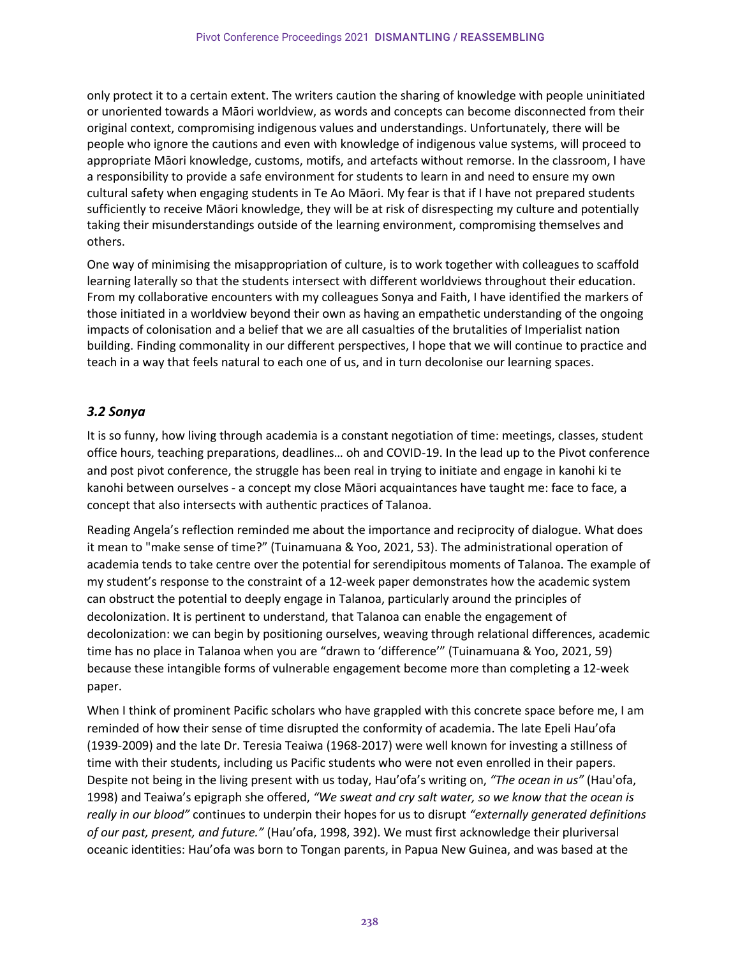only protect it to a certain extent. The writers caution the sharing of knowledge with people uninitiated or unoriented towards a Māori worldview, as words and concepts can become disconnected from their original context, compromising indigenous values and understandings. Unfortunately, there will be people who ignore the cautions and even with knowledge of indigenous value systems, will proceed to appropriate Māori knowledge, customs, motifs, and artefacts without remorse. In the classroom, I have a responsibility to provide a safe environment for students to learn in and need to ensure my own cultural safety when engaging students in Te Ao Māori. My fear is that if I have not prepared students sufficiently to receive Māori knowledge, they will be at risk of disrespecting my culture and potentially taking their misunderstandings outside of the learning environment, compromising themselves and others.

One way of minimising the misappropriation of culture, is to work together with colleagues to scaffold learning laterally so that the students intersect with different worldviews throughout their education. From my collaborative encounters with my colleagues Sonya and Faith, I have identified the markers of those initiated in a worldview beyond their own as having an empathetic understanding of the ongoing impacts of colonisation and a belief that we are all casualties of the brutalities of Imperialist nation building. Finding commonality in our different perspectives, I hope that we will continue to practice and teach in a way that feels natural to each one of us, and in turn decolonise our learning spaces.

## *3.2 Sonya*

It is so funny, how living through academia is a constant negotiation of time: meetings, classes, student office hours, teaching preparations, deadlines… oh and COVID-19. In the lead up to the Pivot conference and post pivot conference, the struggle has been real in trying to initiate and engage in kanohi ki te kanohi between ourselves - a concept my close Māori acquaintances have taught me: face to face, a concept that also intersects with authentic practices of Talanoa.

Reading Angela's reflection reminded me about the importance and reciprocity of dialogue. What does it mean to "make sense of time?" (Tuinamuana & Yoo, 2021, 53). The administrational operation of academia tends to take centre over the potential for serendipitous moments of Talanoa. The example of my student's response to the constraint of a 12-week paper demonstrates how the academic system can obstruct the potential to deeply engage in Talanoa, particularly around the principles of decolonization. It is pertinent to understand, that Talanoa can enable the engagement of decolonization: we can begin by positioning ourselves, weaving through relational differences, academic time has no place in Talanoa when you are "drawn to 'difference'" (Tuinamuana & Yoo, 2021, 59) because these intangible forms of vulnerable engagement become more than completing a 12-week paper.

When I think of prominent Pacific scholars who have grappled with this concrete space before me, I am reminded of how their sense of time disrupted the conformity of academia. The late Epeli Hau'ofa (1939-2009) and the late Dr. Teresia Teaiwa (1968-2017) were well known for investing a stillness of time with their students, including us Pacific students who were not even enrolled in their papers. Despite not being in the living present with us today, Hau'ofa's writing on, *"The ocean in us"* (Hau'ofa, 1998) and Teaiwa's epigraph she offered, *"We sweat and cry salt water, so we know that the ocean is really in our blood"* continues to underpin their hopes for us to disrupt *"externally generated definitions of our past, present, and future."* (Hau'ofa, 1998, 392). We must first acknowledge their pluriversal oceanic identities: Hau'ofa was born to Tongan parents, in Papua New Guinea, and was based at the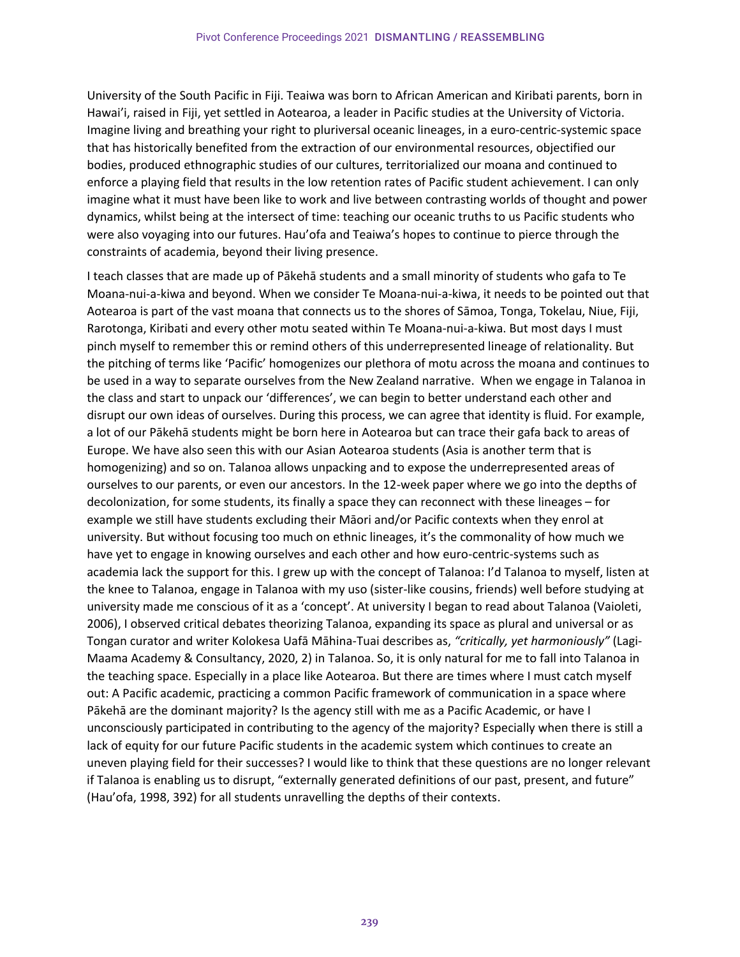University of the South Pacific in Fiji. Teaiwa was born to African American and Kiribati parents, born in Hawai'i, raised in Fiji, yet settled in Aotearoa, a leader in Pacific studies at the University of Victoria. Imagine living and breathing your right to pluriversal oceanic lineages, in a euro-centric-systemic space that has historically benefited from the extraction of our environmental resources, objectified our bodies, produced ethnographic studies of our cultures, territorialized our moana and continued to enforce a playing field that results in the low retention rates of Pacific student achievement. I can only imagine what it must have been like to work and live between contrasting worlds of thought and power dynamics, whilst being at the intersect of time: teaching our oceanic truths to us Pacific students who were also voyaging into our futures. Hau'ofa and Teaiwa's hopes to continue to pierce through the constraints of academia, beyond their living presence.

I teach classes that are made up of Pākehā students and a small minority of students who gafa to Te Moana-nui-a-kiwa and beyond. When we consider Te Moana-nui-a-kiwa, it needs to be pointed out that Aotearoa is part of the vast moana that connects us to the shores of Sāmoa, Tonga, Tokelau, Niue, Fiji, Rarotonga, Kiribati and every other motu seated within Te Moana-nui-a-kiwa. But most days I must pinch myself to remember this or remind others of this underrepresented lineage of relationality. But the pitching of terms like 'Pacific' homogenizes our plethora of motu across the moana and continues to be used in a way to separate ourselves from the New Zealand narrative. When we engage in Talanoa in the class and start to unpack our 'differences', we can begin to better understand each other and disrupt our own ideas of ourselves. During this process, we can agree that identity is fluid. For example, a lot of our Pākehā students might be born here in Aotearoa but can trace their gafa back to areas of Europe. We have also seen this with our Asian Aotearoa students (Asia is another term that is homogenizing) and so on. Talanoa allows unpacking and to expose the underrepresented areas of ourselves to our parents, or even our ancestors. In the 12-week paper where we go into the depths of decolonization, for some students, its finally a space they can reconnect with these lineages – for example we still have students excluding their Māori and/or Pacific contexts when they enrol at university. But without focusing too much on ethnic lineages, it's the commonality of how much we have yet to engage in knowing ourselves and each other and how euro-centric-systems such as academia lack the support for this. I grew up with the concept of Talanoa: I'd Talanoa to myself, listen at the knee to Talanoa, engage in Talanoa with my uso (sister-like cousins, friends) well before studying at university made me conscious of it as a 'concept'. At university I began to read about Talanoa (Vaioleti, 2006), I observed critical debates theorizing Talanoa, expanding its space as plural and universal or as Tongan curator and writer Kolokesa Uafā Māhina-Tuai describes as, *"critically, yet harmoniously"* (Lagi-Maama Academy & Consultancy, 2020, 2) in Talanoa. So, it is only natural for me to fall into Talanoa in the teaching space. Especially in a place like Aotearoa. But there are times where I must catch myself out: A Pacific academic, practicing a common Pacific framework of communication in a space where Pākehā are the dominant majority? Is the agency still with me as a Pacific Academic, or have I unconsciously participated in contributing to the agency of the majority? Especially when there is still a lack of equity for our future Pacific students in the academic system which continues to create an uneven playing field for their successes? I would like to think that these questions are no longer relevant if Talanoa is enabling us to disrupt, "externally generated definitions of our past, present, and future" (Hau'ofa, 1998, 392) for all students unravelling the depths of their contexts.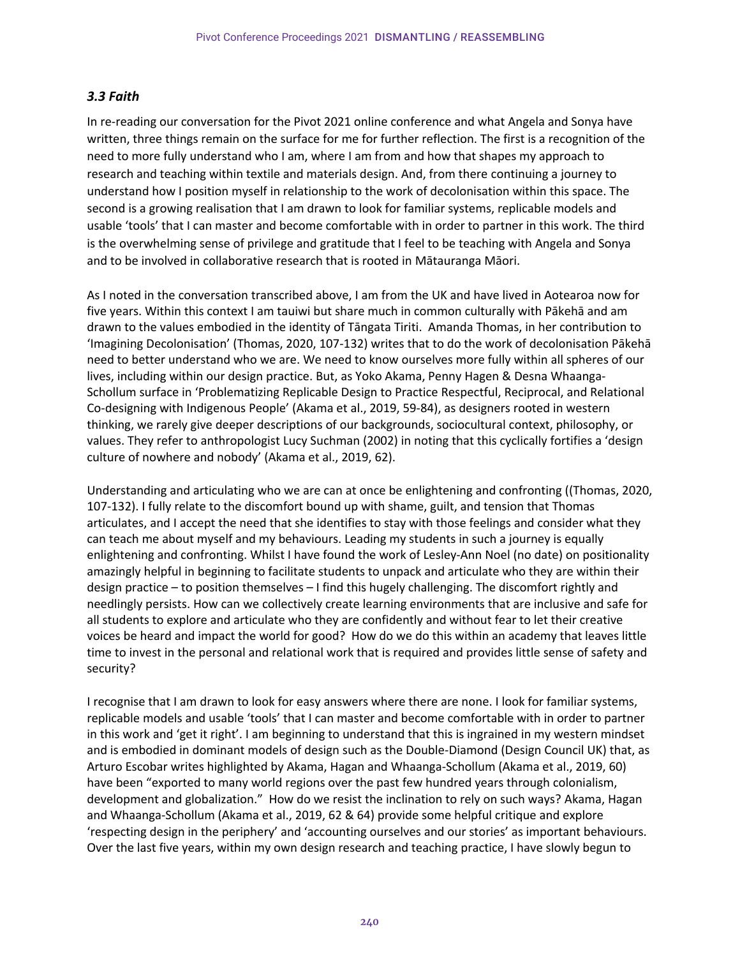## *3.3 Faith*

In re-reading our conversation for the Pivot 2021 online conference and what Angela and Sonya have written, three things remain on the surface for me for further reflection. The first is a recognition of the need to more fully understand who I am, where I am from and how that shapes my approach to research and teaching within textile and materials design. And, from there continuing a journey to understand how I position myself in relationship to the work of decolonisation within this space. The second is a growing realisation that I am drawn to look for familiar systems, replicable models and usable 'tools' that I can master and become comfortable with in order to partner in this work. The third is the overwhelming sense of privilege and gratitude that I feel to be teaching with Angela and Sonya and to be involved in collaborative research that is rooted in Mātauranga Māori.

As I noted in the conversation transcribed above, I am from the UK and have lived in Aotearoa now for five years. Within this context I am tauiwi but share much in common culturally with Pākehā and am drawn to the values embodied in the identity of Tāngata Tiriti. Amanda Thomas, in her contribution to 'Imagining Decolonisation' (Thomas, 2020, 107-132) writes that to do the work of decolonisation Pākehā need to better understand who we are. We need to know ourselves more fully within all spheres of our lives, including within our design practice. But, as Yoko Akama, Penny Hagen & Desna Whaanga-Schollum surface in 'Problematizing Replicable Design to Practice Respectful, Reciprocal, and Relational Co-designing with Indigenous People' (Akama et al., 2019, 59-84), as designers rooted in western thinking, we rarely give deeper descriptions of our backgrounds, sociocultural context, philosophy, or values. They refer to anthropologist Lucy Suchman (2002) in noting that this cyclically fortifies a 'design culture of nowhere and nobody' (Akama et al., 2019, 62).

Understanding and articulating who we are can at once be enlightening and confronting ((Thomas, 2020, 107-132). I fully relate to the discomfort bound up with shame, guilt, and tension that Thomas articulates, and I accept the need that she identifies to stay with those feelings and consider what they can teach me about myself and my behaviours. Leading my students in such a journey is equally enlightening and confronting. Whilst I have found the work of Lesley-Ann Noel (no date) on positionality amazingly helpful in beginning to facilitate students to unpack and articulate who they are within their design practice – to position themselves – I find this hugely challenging. The discomfort rightly and needlingly persists. How can we collectively create learning environments that are inclusive and safe for all students to explore and articulate who they are confidently and without fear to let their creative voices be heard and impact the world for good? How do we do this within an academy that leaves little time to invest in the personal and relational work that is required and provides little sense of safety and security?

I recognise that I am drawn to look for easy answers where there are none. I look for familiar systems, replicable models and usable 'tools' that I can master and become comfortable with in order to partner in this work and 'get it right'. I am beginning to understand that this is ingrained in my western mindset and is embodied in dominant models of design such as the Double-Diamond (Design Council UK) that, as Arturo Escobar writes highlighted by Akama, Hagan and Whaanga-Schollum (Akama et al., 2019, 60) have been "exported to many world regions over the past few hundred years through colonialism, development and globalization." How do we resist the inclination to rely on such ways? Akama, Hagan and Whaanga-Schollum (Akama et al., 2019, 62 & 64) provide some helpful critique and explore 'respecting design in the periphery' and 'accounting ourselves and our stories' as important behaviours. Over the last five years, within my own design research and teaching practice, I have slowly begun to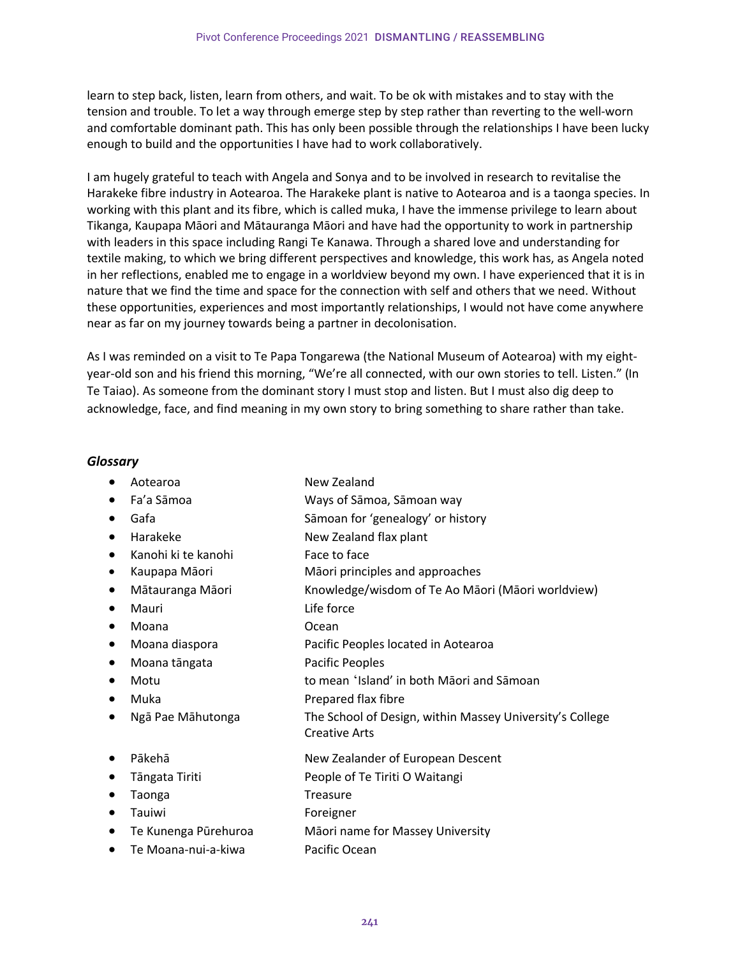learn to step back, listen, learn from others, and wait. To be ok with mistakes and to stay with the tension and trouble. To let a way through emerge step by step rather than reverting to the well-worn and comfortable dominant path. This has only been possible through the relationships I have been lucky enough to build and the opportunities I have had to work collaboratively.

I am hugely grateful to teach with Angela and Sonya and to be involved in research to revitalise the Harakeke fibre industry in Aotearoa. The Harakeke plant is native to Aotearoa and is a taonga species. In working with this plant and its fibre, which is called muka, I have the immense privilege to learn about Tikanga, Kaupapa Māori and Mātauranga Māori and have had the opportunity to work in partnership with leaders in this space including Rangi Te Kanawa. Through a shared love and understanding for textile making, to which we bring different perspectives and knowledge, this work has, as Angela noted in her reflections, enabled me to engage in a worldview beyond my own. I have experienced that it is in nature that we find the time and space for the connection with self and others that we need. Without these opportunities, experiences and most importantly relationships, I would not have come anywhere near as far on my journey towards being a partner in decolonisation.

As I was reminded on a visit to Te Papa Tongarewa (the National Museum of Aotearoa) with my eightyear-old son and his friend this morning, "We're all connected, with our own stories to tell. Listen." (In Te Taiao). As someone from the dominant story I must stop and listen. But I must also dig deep to acknowledge, face, and find meaning in my own story to bring something to share rather than take.

## *Glossary*

- Aotearoa New Zealand
	-
- Fa'a Sāmoa Ways of Sāmoa, Sāmoan way
- Gafa Sāmoan for 'genealogy' or history
- Harakeke New Zealand flax plant
- Kanohi ki te kanohi Face to face
- Kaupapa Māori Māori principles and approaches
- Mātauranga Māori Knowledge/wisdom of Te Ao Māori (Māori worldview)
- Mauri Life force
- Moana Ocean
- Moana diaspora Pacific Peoples located in Aotearoa
- Moana tāngata Pacific Peoples
- Motu to mean 'Island' in both Māori and Sāmoan
- Muka Prepared flax fibre
- Ngā Pae Māhutonga The School of Design, within Massey University's College
- 
- 
- 
- 
- Te Kunenga Pūrehuroa Māori name for Massey University
- Te Moana-nui-a-kiwa Pacific Ocean
- Pākehā New Zealander of European Descent
- Tāngata Tiriti People of Te Tiriti O Waitangi
- Taonga Treasure

Creative Arts

• Tauiwi **Foreigner**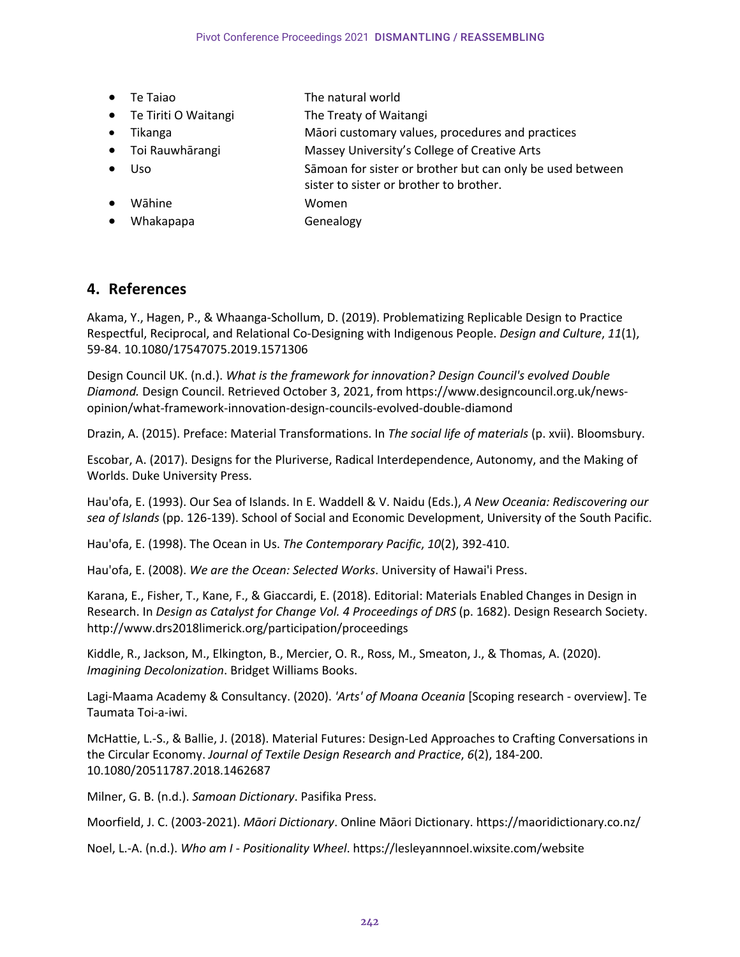- Te Taiao The natural world
- Te Tiriti O Waitangi The Treaty of Waitangi
- Tikanga Māori customary values, procedures and practices
- Toi Rauwhārangi Massey University's College of Creative Arts
- Uso Sāmoan for sister or brother but can only be used between sister to sister or brother to brother.
- Wāhine Women
- Whakapapa Genealogy

## **4. References**

Akama, Y., Hagen, P., & Whaanga-Schollum, D. (2019). Problematizing Replicable Design to Practice Respectful, Reciprocal, and Relational Co-Designing with Indigenous People. *Design and Culture*, *11*(1), 59-84. 10.1080/17547075.2019.1571306

Design Council UK. (n.d.). *What is the framework for innovation? Design Council's evolved Double Diamond.* Design Council. Retrieved October 3, 2021, from https://www.designcouncil.org.uk/newsopinion/what-framework-innovation-design-councils-evolved-double-diamond

Drazin, A. (2015). Preface: Material Transformations. In *The social life of materials* (p. xvii). Bloomsbury.

Escobar, A. (2017). Designs for the Pluriverse, Radical Interdependence, Autonomy, and the Making of Worlds. Duke University Press.

Hau'ofa, E. (1993). Our Sea of Islands. In E. Waddell & V. Naidu (Eds.), *A New Oceania: Rediscovering our sea of Islands* (pp. 126-139). School of Social and Economic Development, University of the South Pacific.

Hau'ofa, E. (1998). The Ocean in Us. *The Contemporary Pacific*, *10*(2), 392-410.

Hau'ofa, E. (2008). *We are the Ocean: Selected Works*. University of Hawai'i Press.

Karana, E., Fisher, T., Kane, F., & Giaccardi, E. (2018). Editorial: Materials Enabled Changes in Design in Research. In *Design as Catalyst for Change Vol. 4 Proceedings of DRS* (p. 1682). Design Research Society. http://www.drs2018limerick.org/participation/proceedings

Kiddle, R., Jackson, M., Elkington, B., Mercier, O. R., Ross, M., Smeaton, J., & Thomas, A. (2020). *Imagining Decolonization*. Bridget Williams Books.

Lagi-Maama Academy & Consultancy. (2020). *'Arts' of Moana Oceania* [Scoping research - overview]. Te Taumata Toi-a-iwi.

McHattie, L.-S., & Ballie, J. (2018). Material Futures: Design-Led Approaches to Crafting Conversations in the Circular Economy. *Journal of Textile Design Research and Practice*, *6*(2), 184-200. 10.1080/20511787.2018.1462687

Milner, G. B. (n.d.). *Samoan Dictionary*. Pasifika Press.

Moorfield, J. C. (2003-2021). *Māori Dictionary*. Online Māori Dictionary. https://maoridictionary.co.nz/

Noel, L.-A. (n.d.). *Who am I - Positionality Wheel*. https://lesleyannnoel.wixsite.com/website